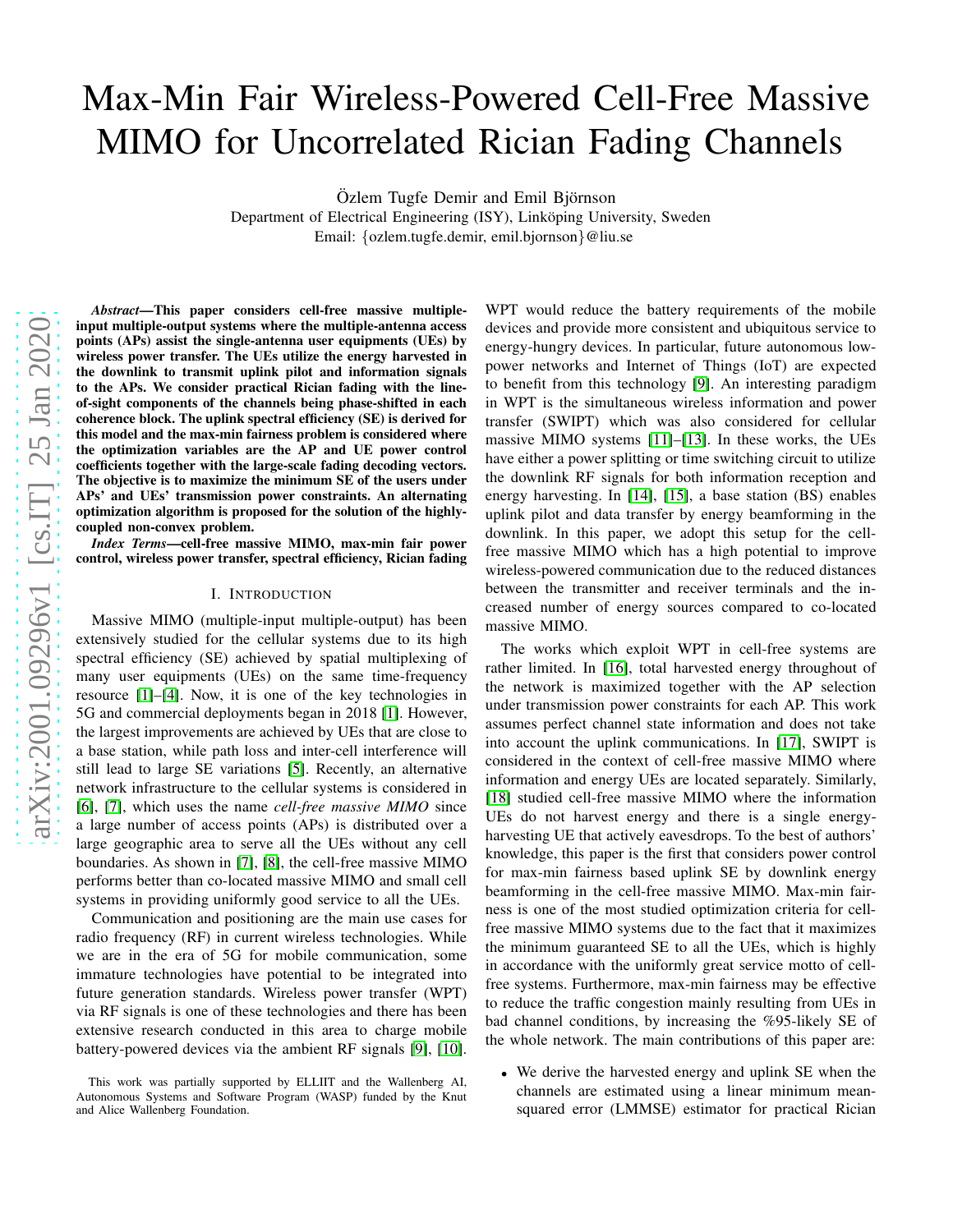# Max-Min Fair Wireless-Powered Cell-Free Massive MIMO for Uncorrelated Rician Fading Channels

Özlem Tugfe Demir and Emil Björnson

Department of Electrical Engineering (ISY), Linköping University, Sweden Email: {ozlem.tugfe.demir, emil.bjornson}@liu.se

*Abstract*—This paper considers cell-free massive multipleinput multiple-output systems where the multiple-antenna access points (APs) assist the single-antenna user equipments (UEs) by wireless power transfer. The UEs utilize the energy harvested in the downlink to transmit uplink pilot and information signals to the APs. We consider practical Rician fading with the lineof-sight components of the channels being phase-shifted in each coherence block. The uplink spectral efficiency (SE) is derived for this model and the max-min fairness problem is considered where the optimization variables are the AP and UE power control coefficients together with the large-scale fading decoding vectors. The objective is to maximize the minimum SE of the users under APs' and UEs' transmission power constraints. An alternating optimization algorithm is proposed for the solution of the highlycoupled non-convex problem.

*Index Terms*—cell-free massive MIMO, max-min fair power control, wireless power transfer, spectral efficiency, Rician fading

#### I. INTRODUCTION

Massive MIMO (multiple-input multiple-output) has been extensively studied for the cellular systems due to its high spectral efficiency (SE) achieved by spatial multiplexing of many user equipments (UEs) on the same time-frequency resource [\[1\]](#page-5-0)–[\[4\]](#page-5-1). Now, it is one of the key technologies in 5G and commercial deployments began in 2018 [\[1\]](#page-5-0). However, the largest improvements are achieved by UEs that are close to a base station, while path loss and inter-cell interference will still lead to large SE variations [\[5\]](#page-5-2). Recently, an alternative network infrastructure to the cellular systems is considered in [\[6\]](#page-5-3), [\[7\]](#page-5-4), which uses the name *cell-free massive MIMO* since a large number of access points (APs) is distributed over a large geographic area to serve all the UEs without any cell boundaries. As shown in [\[7\]](#page-5-4), [\[8\]](#page-5-5), the cell-free massive MIMO performs better than co-located massive MIMO and small cell systems in providing uniformly good service to all the UEs.

Communication and positioning are the main use cases for radio frequency (RF) in current wireless technologies. While we are in the era of 5G for mobile communication, some immature technologies have potential to be integrated into future generation standards. Wireless power transfer (WPT) via RF signals is one of these technologies and there has been extensive research conducted in this area to charge mobile battery-powered devices via the ambient RF signals [\[9\]](#page-5-6), [\[10\]](#page-5-7).

WPT would reduce the battery requirements of the mobile devices and provide more consistent and ubiquitous service to energy-hungry devices. In particular, future autonomous lowpower networks and Internet of Things (IoT) are expected to benefit from this technology [\[9\]](#page-5-6). An interesting paradigm in WPT is the simultaneous wireless information and power transfer (SWIPT) which was also considered for cellular massive MIMO systems [\[11\]](#page-5-8)–[\[13\]](#page-5-9). In these works, the UEs have either a power splitting or time switching circuit to utilize the downlink RF signals for both information reception and energy harvesting. In [\[14\]](#page-5-10), [\[15\]](#page-5-11), a base station (BS) enables uplink pilot and data transfer by energy beamforming in the downlink. In this paper, we adopt this setup for the cellfree massive MIMO which has a high potential to improve wireless-powered communication due to the reduced distances between the transmitter and receiver terminals and the increased number of energy sources compared to co-located massive MIMO.

The works which exploit WPT in cell-free systems are rather limited. In [\[16\]](#page-5-12), total harvested energy throughout of the network is maximized together with the AP selection under transmission power constraints for each AP. This work assumes perfect channel state information and does not take into account the uplink communications. In [\[17\]](#page-5-13), SWIPT is considered in the context of cell-free massive MIMO where information and energy UEs are located separately. Similarly, [\[18\]](#page-5-14) studied cell-free massive MIMO where the information UEs do not harvest energy and there is a single energyharvesting UE that actively eavesdrops. To the best of authors' knowledge, this paper is the first that considers power control for max-min fairness based uplink SE by downlink energy beamforming in the cell-free massive MIMO. Max-min fairness is one of the most studied optimization criteria for cellfree massive MIMO systems due to the fact that it maximizes the minimum guaranteed SE to all the UEs, which is highly in accordance with the uniformly great service motto of cellfree systems. Furthermore, max-min fairness may be effective to reduce the traffic congestion mainly resulting from UEs in bad channel conditions, by increasing the %95-likely SE of the whole network. The main contributions of this paper are:

• We derive the harvested energy and uplink SE when the channels are estimated using a linear minimum meansquared error (LMMSE) estimator for practical Rician

This work was partially supported by ELLIIT and the Wallenberg AI, Autonomous Systems and Software Program (WASP) funded by the Knut and Alice Wallenberg Foundation.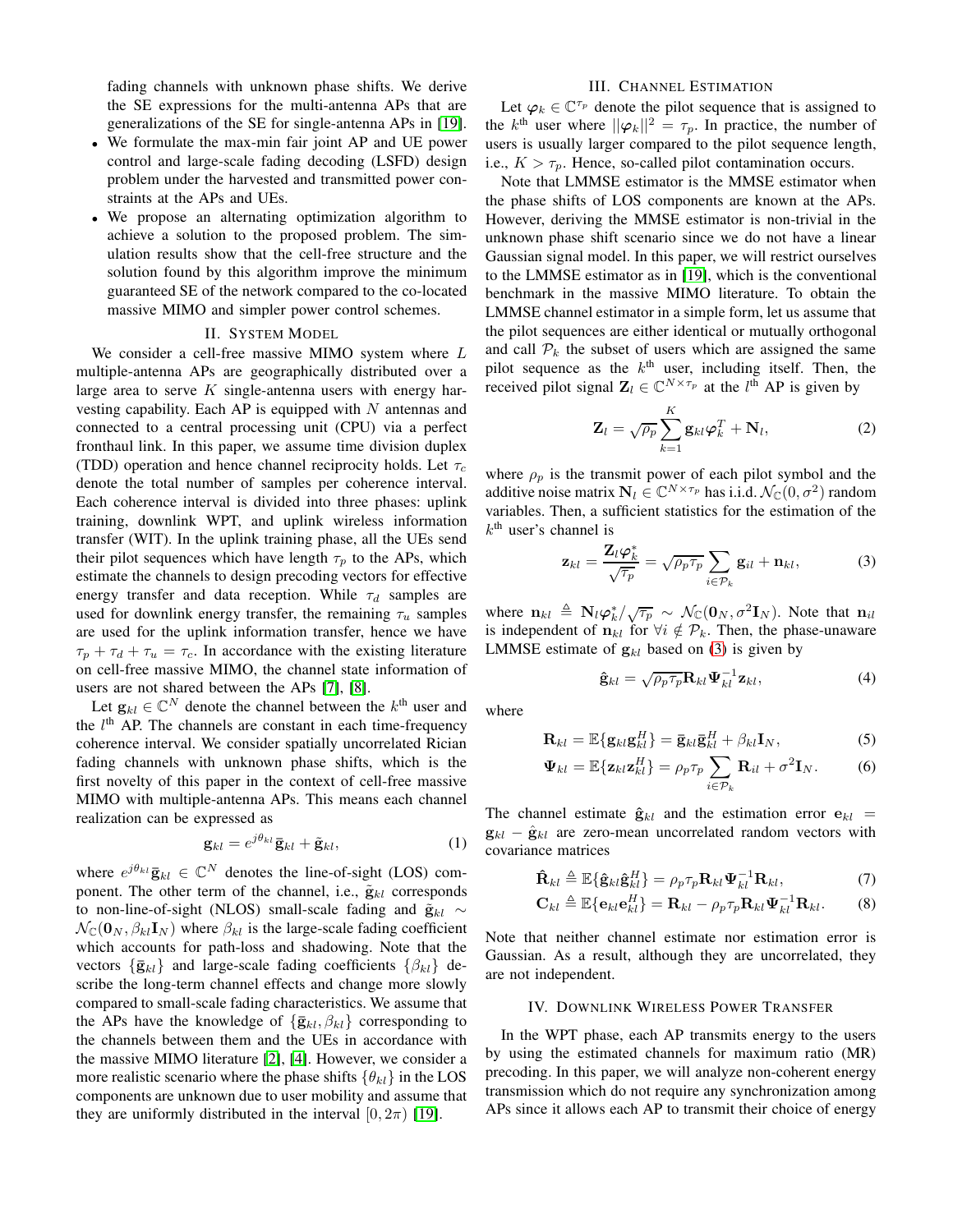fading channels with unknown phase shifts. We derive the SE expressions for the multi-antenna APs that are generalizations of the SE for single-antenna APs in [\[19\]](#page-5-15).

- We formulate the max-min fair joint AP and UE power control and large-scale fading decoding (LSFD) design problem under the harvested and transmitted power constraints at the APs and UEs.
- We propose an alternating optimization algorithm to achieve a solution to the proposed problem. The simulation results show that the cell-free structure and the solution found by this algorithm improve the minimum guaranteed SE of the network compared to the co-located massive MIMO and simpler power control schemes.

## II. SYSTEM MODEL

We consider a cell-free massive MIMO system where  $L$ multiple-antenna APs are geographically distributed over a large area to serve  $K$  single-antenna users with energy harvesting capability. Each AP is equipped with  $N$  antennas and connected to a central processing unit (CPU) via a perfect fronthaul link. In this paper, we assume time division duplex (TDD) operation and hence channel reciprocity holds. Let  $\tau_c$ denote the total number of samples per coherence interval. Each coherence interval is divided into three phases: uplink training, downlink WPT, and uplink wireless information transfer (WIT). In the uplink training phase, all the UEs send their pilot sequences which have length  $\tau_p$  to the APs, which estimate the channels to design precoding vectors for effective energy transfer and data reception. While  $\tau_d$  samples are used for downlink energy transfer, the remaining  $\tau_u$  samples are used for the uplink information transfer, hence we have  $\tau_p + \tau_d + \tau_u = \tau_c$ . In accordance with the existing literature on cell-free massive MIMO, the channel state information of users are not shared between the APs [\[7\]](#page-5-4), [\[8\]](#page-5-5).

Let  $\mathbf{g}_{kl} \in \mathbb{C}^N$  denote the channel between the  $k^{\text{th}}$  user and the  $l<sup>th</sup>$  AP. The channels are constant in each time-frequency coherence interval. We consider spatially uncorrelated Rician fading channels with unknown phase shifts, which is the first novelty of this paper in the context of cell-free massive MIMO with multiple-antenna APs. This means each channel realization can be expressed as

$$
\mathbf{g}_{kl} = e^{j\theta_{kl}} \bar{\mathbf{g}}_{kl} + \tilde{\mathbf{g}}_{kl},\tag{1}
$$

where  $e^{j\theta_{kl}}\bar{\mathbf{g}}_{kl} \in \mathbb{C}^{N}$  denotes the line-of-sight (LOS) component. The other term of the channel, i.e.,  $\tilde{\mathbf{g}}_{kl}$  corresponds to non-line-of-sight (NLOS) small-scale fading and  $\tilde{\mathbf{g}}_{kl} \sim$  $\mathcal{N}_{\mathbb{C}}(\mathbf{0}_N, \beta_{kl} \mathbf{I}_N)$  where  $\beta_{kl}$  is the large-scale fading coefficient which accounts for path-loss and shadowing. Note that the vectors  $\{\bar{\mathbf{g}}_{kl}\}\$  and large-scale fading coefficients  $\{\beta_{kl}\}\$  describe the long-term channel effects and change more slowly compared to small-scale fading characteristics. We assume that the APs have the knowledge of  $\{\bar{\mathbf{g}}_{kl}, \beta_{kl}\}$  corresponding to the channels between them and the UEs in accordance with the massive MIMO literature [\[2\]](#page-5-16), [\[4\]](#page-5-1). However, we consider a more realistic scenario where the phase shifts  $\{\theta_{kl}\}\$ in the LOS components are unknown due to user mobility and assume that they are uniformly distributed in the interval  $[0, 2\pi)$  [\[19\]](#page-5-15).

## III. CHANNEL ESTIMATION

Let  $\varphi_k \in \mathbb{C}^{\tau_p}$  denote the pilot sequence that is assigned to the  $k^{\text{th}}$  user where  $\|\varphi_k\|^2 = \tau_p$ . In practice, the number of users is usually larger compared to the pilot sequence length, i.e.,  $K > \tau_p$ . Hence, so-called pilot contamination occurs.

Note that LMMSE estimator is the MMSE estimator when the phase shifts of LOS components are known at the APs. However, deriving the MMSE estimator is non-trivial in the unknown phase shift scenario since we do not have a linear Gaussian signal model. In this paper, we will restrict ourselves to the LMMSE estimator as in [\[19\]](#page-5-15), which is the conventional benchmark in the massive MIMO literature. To obtain the LMMSE channel estimator in a simple form, let us assume that the pilot sequences are either identical or mutually orthogonal and call  $P_k$  the subset of users which are assigned the same pilot sequence as the  $k^{\text{th}}$  user, including itself. Then, the received pilot signal  $\mathbf{Z}_l \in \mathbb{C}^{N \times \tau_p}$  at the  $l^{\text{th}}$  AP is given by

$$
\mathbf{Z}_{l} = \sqrt{\rho_p} \sum_{k=1}^{K} \mathbf{g}_{kl} \boldsymbol{\varphi}_{k}^{T} + \mathbf{N}_{l},
$$
 (2)

where  $\rho_p$  is the transmit power of each pilot symbol and the additive noise matrix  $\mathbf{N}_l \in \mathbb{C}^{N \times \tau_p}$  has i.i.d.  $\mathcal{N}_{\mathbb{C}}(0, \sigma^2)$  random variables. Then, a sufficient statistics for the estimation of the  $k<sup>th</sup>$  user's channel is

$$
\mathbf{z}_{kl} = \frac{\mathbf{Z}_l \boldsymbol{\varphi}_k^*}{\sqrt{\tau_p}} = \sqrt{\rho_p \tau_p} \sum_{i \in \mathcal{P}_k} \mathbf{g}_{il} + \mathbf{n}_{kl}, \tag{3}
$$

where  $\mathbf{n}_{kl} \triangleq \mathbf{N}_l \boldsymbol{\varphi}_k^* / \sqrt{\tau_p} \sim \mathcal{N}_{\mathbb{C}}(\mathbf{0}_N, \sigma^2 \mathbf{I}_N)$ . Note that  $\mathbf{n}_{il}$ is independent of  $n_{kl}$  for  $\forall i \notin \mathcal{P}_k$ . Then, the phase-unaware LMMSE estimate of  $g_{kl}$  based on [\(3\)](#page-1-0) is given by

<span id="page-1-2"></span><span id="page-1-0"></span>
$$
\hat{\mathbf{g}}_{kl} = \sqrt{\rho_p \tau_p} \mathbf{R}_{kl} \Psi_{kl}^{-1} \mathbf{z}_{kl},
$$
\n(4)

where

$$
\mathbf{R}_{kl} = \mathbb{E}\{\mathbf{g}_{kl}\mathbf{g}_{kl}^H\} = \mathbf{\bar{g}}_{kl}\mathbf{\bar{g}}_{kl}^H + \beta_{kl}\mathbf{I}_N, \tag{5}
$$

$$
\mathbf{\Psi}_{kl} = \mathbb{E}\{\mathbf{z}_{kl}\mathbf{z}_{kl}^H\} = \rho_p \tau_p \sum_{i \in \mathcal{P}_k} \mathbf{R}_{il} + \sigma^2 \mathbf{I}_N. \tag{6}
$$

The channel estimate  $\hat{\mathbf{g}}_{kl}$  and the estimation error  $\mathbf{e}_{kl}$  =  $\mathbf{g}_{kl} - \hat{\mathbf{g}}_{kl}$  are zero-mean uncorrelated random vectors with covariance matrices

<span id="page-1-1"></span>
$$
\hat{\mathbf{R}}_{kl} \triangleq \mathbb{E}\{\hat{\mathbf{g}}_{kl}\hat{\mathbf{g}}_{kl}^H\} = \rho_p \tau_p \mathbf{R}_{kl} \boldsymbol{\Psi}_{kl}^{-1} \mathbf{R}_{kl},\tag{7}
$$

$$
\mathbf{C}_{kl} \triangleq \mathbb{E}\{\mathbf{e}_{kl}\mathbf{e}_{kl}^H\} = \mathbf{R}_{kl} - \rho_p \tau_p \mathbf{R}_{kl} \boldsymbol{\Psi}_{kl}^{-1} \mathbf{R}_{kl}.
$$
 (8)

Note that neither channel estimate nor estimation error is Gaussian. As a result, although they are uncorrelated, they are not independent.

## IV. DOWNLINK WIRELESS POWER TRANSFER

In the WPT phase, each AP transmits energy to the users by using the estimated channels for maximum ratio (MR) precoding. In this paper, we will analyze non-coherent energy transmission which do not require any synchronization among APs since it allows each AP to transmit their choice of energy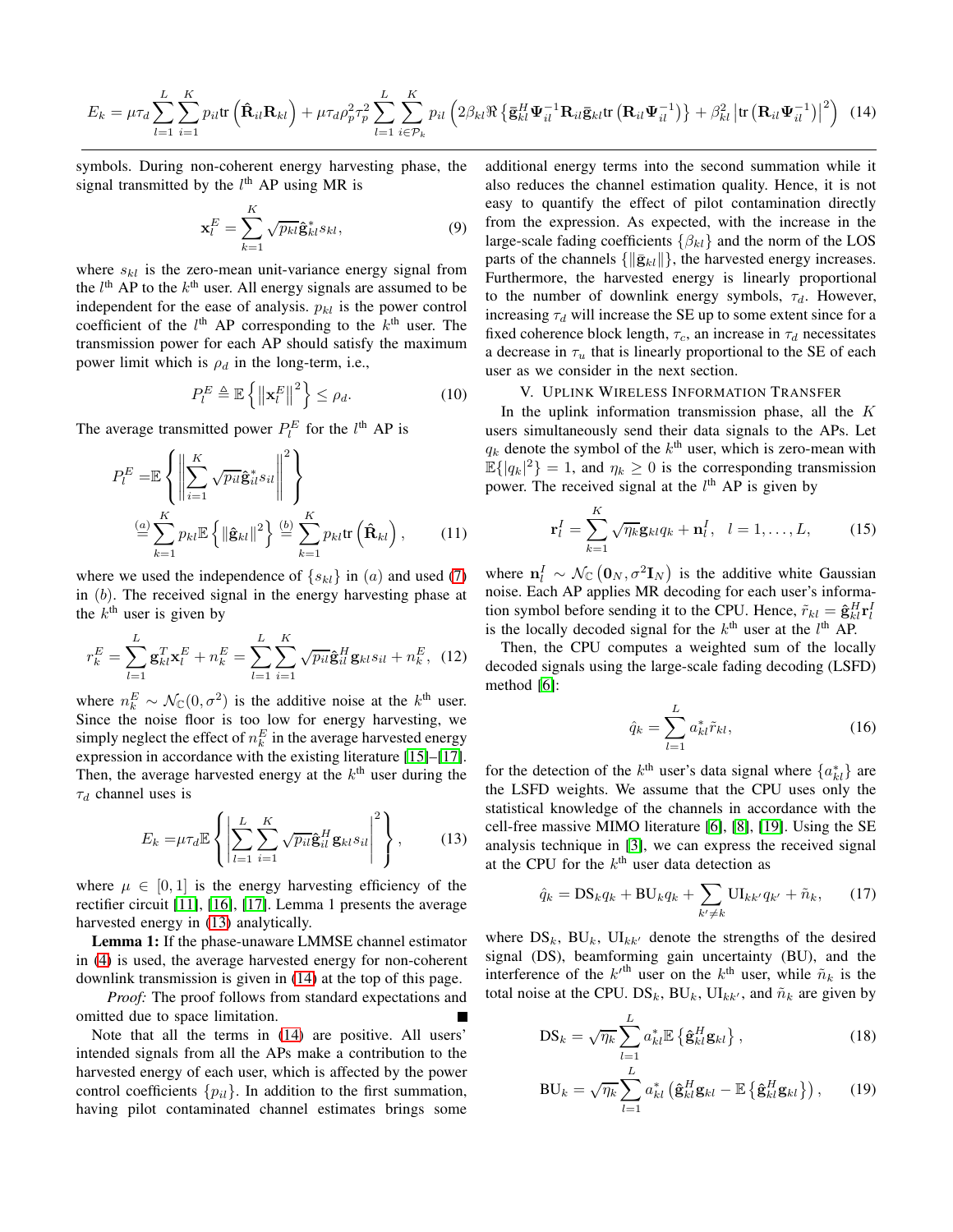$$
E_k = \mu \tau_d \sum_{l=1}^{L} \sum_{i=1}^{K} p_{il} \text{tr} \left( \hat{\mathbf{R}}_{il} \mathbf{R}_{kl} \right) + \mu \tau_d \rho_p^2 \tau_p^2 \sum_{l=1}^{L} \sum_{i \in \mathcal{P}_k}^{K} p_{il} \left( 2 \beta_{kl} \Re \left\{ \bar{\mathbf{g}}_{kl}^H \boldsymbol{\Psi}_{il}^{-1} \mathbf{R}_{il} \bar{\mathbf{g}}_{kl} \text{tr} \left( \mathbf{R}_{il} \boldsymbol{\Psi}_{il}^{-1} \right) \right\} + \beta_{kl}^2 \left| \text{tr} \left( \mathbf{R}_{il} \boldsymbol{\Psi}_{il}^{-1} \right) \right|^2 \right) \tag{14}
$$

symbols. During non-coherent energy harvesting phase, the signal transmitted by the  $l<sup>th</sup>$  AP using MR is

$$
\mathbf{x}_l^E = \sum_{k=1}^K \sqrt{p_{kl}} \hat{\mathbf{g}}_{kl}^* s_{kl},
$$
\n(9)

where  $s_{kl}$  is the zero-mean unit-variance energy signal from the  $l<sup>th</sup>$  AP to the  $k<sup>th</sup>$  user. All energy signals are assumed to be independent for the ease of analysis.  $p_{kl}$  is the power control coefficient of the  $l^{\text{th}}$  AP corresponding to the  $k^{\text{th}}$  user. The transmission power for each AP should satisfy the maximum power limit which is  $\rho_d$  in the long-term, i.e.,

$$
P_l^E \triangleq \mathbb{E}\left\{ \left\| \mathbf{x}_l^E \right\|^2 \right\} \le \rho_d. \tag{10}
$$

The average transmitted power  $P_l^E$  for the  $l^{\text{th}}$  AP is

$$
P_l^E = \mathbb{E}\left\{ \left\| \sum_{i=1}^K \sqrt{p_{il}} \hat{\mathbf{g}}_{il}^* s_{il} \right\|^2 \right\}
$$

$$
\stackrel{(a)}{=} \sum_{k=1}^K p_{kl} \mathbb{E}\left\{ \left\| \hat{\mathbf{g}}_{kl} \right\|^2 \right\} \stackrel{(b)}{=} \sum_{k=1}^K p_{kl} \text{tr}\left(\hat{\mathbf{R}}_{kl}\right), \qquad (11)
$$

where we used the independence of  $\{s_{kl}\}\$ in  $(a)$  and used [\(7\)](#page-1-1) in (b). The received signal in the energy harvesting phase at the  $k^{\text{th}}$  user is given by

$$
r_k^E = \sum_{l=1}^L \mathbf{g}_{kl}^T \mathbf{x}_l^E + n_k^E = \sum_{l=1}^L \sum_{i=1}^K \sqrt{p_{il}} \hat{\mathbf{g}}_{il}^H \mathbf{g}_{kl} s_{il} + n_k^E, \tag{12}
$$

where  $n_k^E \sim \mathcal{N}_{\mathbb{C}}(0, \sigma^2)$  is the additive noise at the  $k^{\text{th}}$  user. Since the noise floor is too low for energy harvesting, we simply neglect the effect of  $n_k^E$  in the average harvested energy expression in accordance with the existing literature [\[15\]](#page-5-11)–[\[17\]](#page-5-13). Then, the average harvested energy at the  $k<sup>th</sup>$  user during the  $\tau_d$  channel uses is

$$
E_k = \mu \tau_d \mathbb{E} \left\{ \left| \sum_{l=1}^L \sum_{i=1}^K \sqrt{p_{il}} \hat{\mathbf{g}}_{il}^H \mathbf{g}_{kl} s_{il} \right|^2 \right\},\qquad(13)
$$

where  $\mu \in [0, 1]$  is the energy harvesting efficiency of the rectifier circuit [\[11\]](#page-5-8), [\[16\]](#page-5-12), [\[17\]](#page-5-13). Lemma 1 presents the average harvested energy in [\(13\)](#page-2-0) analytically.

Lemma 1: If the phase-unaware LMMSE channel estimator in [\(4\)](#page-1-2) is used, the average harvested energy for non-coherent downlink transmission is given in [\(14\)](#page-2-1) at the top of this page.

*Proof:* The proof follows from standard expectations and omitted due to space limitation.

Note that all the terms in [\(14\)](#page-2-1) are positive. All users' intended signals from all the APs make a contribution to the harvested energy of each user, which is affected by the power control coefficients  $\{p_{il}\}\$ . In addition to the first summation, having pilot contaminated channel estimates brings some <span id="page-2-1"></span>additional energy terms into the second summation while it also reduces the channel estimation quality. Hence, it is not easy to quantify the effect of pilot contamination directly from the expression. As expected, with the increase in the large-scale fading coefficients  $\{\beta_{kl}\}\$ and the norm of the LOS parts of the channels  $\{\|\bar{\mathbf{g}}_{kl}\|\}$ , the harvested energy increases. Furthermore, the harvested energy is linearly proportional to the number of downlink energy symbols,  $\tau_d$ . However, increasing  $\tau_d$  will increase the SE up to some extent since for a fixed coherence block length,  $\tau_c$ , an increase in  $\tau_d$  necessitates a decrease in  $\tau_u$  that is linearly proportional to the SE of each user as we consider in the next section.

# V. UPLINK WIRELESS INFORMATION TRANSFER

<span id="page-2-4"></span>In the uplink information transmission phase, all the  $K$ users simultaneously send their data signals to the APs. Let  $q_k$  denote the symbol of the  $k^{\text{th}}$  user, which is zero-mean with  $\mathbb{E}\{|q_k|^2\} = 1$ , and  $\eta_k \geq 0$  is the corresponding transmission power. The received signal at the  $l<sup>th</sup>$  AP is given by

$$
\mathbf{r}_l^I = \sum_{k=1}^K \sqrt{\eta_k} \mathbf{g}_{kl} q_k + \mathbf{n}_l^I, \quad l = 1, \dots, L,
$$
 (15)

<span id="page-2-3"></span>where  $\mathbf{n}_l^I \sim \mathcal{N}_{\mathbb{C}}(\mathbf{0}_N, \sigma^2 \mathbf{I}_N)$  is the additive white Gaussian noise. Each AP applies MR decoding for each user's information symbol before sending it to the CPU. Hence,  $\tilde{r}_{kl} = \hat{\mathbf{g}}_{kl}^H \mathbf{r}_l^H$ is the locally decoded signal for the  $k^{\text{th}}$  user at the  $l^{\text{th}}$  AP.

Then, the CPU computes a weighted sum of the locally decoded signals using the large-scale fading decoding (LSFD) method [\[6\]](#page-5-3):

<span id="page-2-2"></span>
$$
\hat{q}_k = \sum_{l=1}^L a_{kl}^* \tilde{r}_{kl},\tag{16}
$$

<span id="page-2-0"></span>for the detection of the  $k^{\text{th}}$  user's data signal where  $\{a_{kl}^*\}$  are the LSFD weights. We assume that the CPU uses only the statistical knowledge of the channels in accordance with the cell-free massive MIMO literature [\[6\]](#page-5-3), [\[8\]](#page-5-5), [\[19\]](#page-5-15). Using the SE analysis technique in [\[3\]](#page-5-17), we can express the received signal at the CPU for the  $k^{\text{th}}$  user data detection as

$$
\hat{q}_k = \text{DS}_k q_k + \text{BU}_k q_k + \sum_{k' \neq k} \text{UI}_{kk'} q_{k'} + \tilde{n}_k, \qquad (17)
$$

where  $DS_k$ ,  $BU_k$ ,  $UI_{kk'}$  denote the strengths of the desired signal (DS), beamforming gain uncertainty (BU), and the interference of the  $k<sup>th</sup>$  user on the  $k<sup>th</sup>$  user, while  $\tilde{n}_k$  is the total noise at the CPU.  $DS_k$ ,  $BU_k$ ,  $UI_{kk'}$ , and  $\tilde{n}_k$  are given by

$$
DS_k = \sqrt{\eta_k} \sum_{l=1}^{L} a_{kl}^* \mathbb{E} \left\{ \hat{\mathbf{g}}_{kl}^H \mathbf{g}_{kl} \right\},\tag{18}
$$

$$
BU_k = \sqrt{\eta_k} \sum_{l=1}^L a_{kl}^* \left( \hat{\mathbf{g}}_{kl}^H \mathbf{g}_{kl} - \mathbb{E} \left\{ \hat{\mathbf{g}}_{kl}^H \mathbf{g}_{kl} \right\} \right), \qquad (19)
$$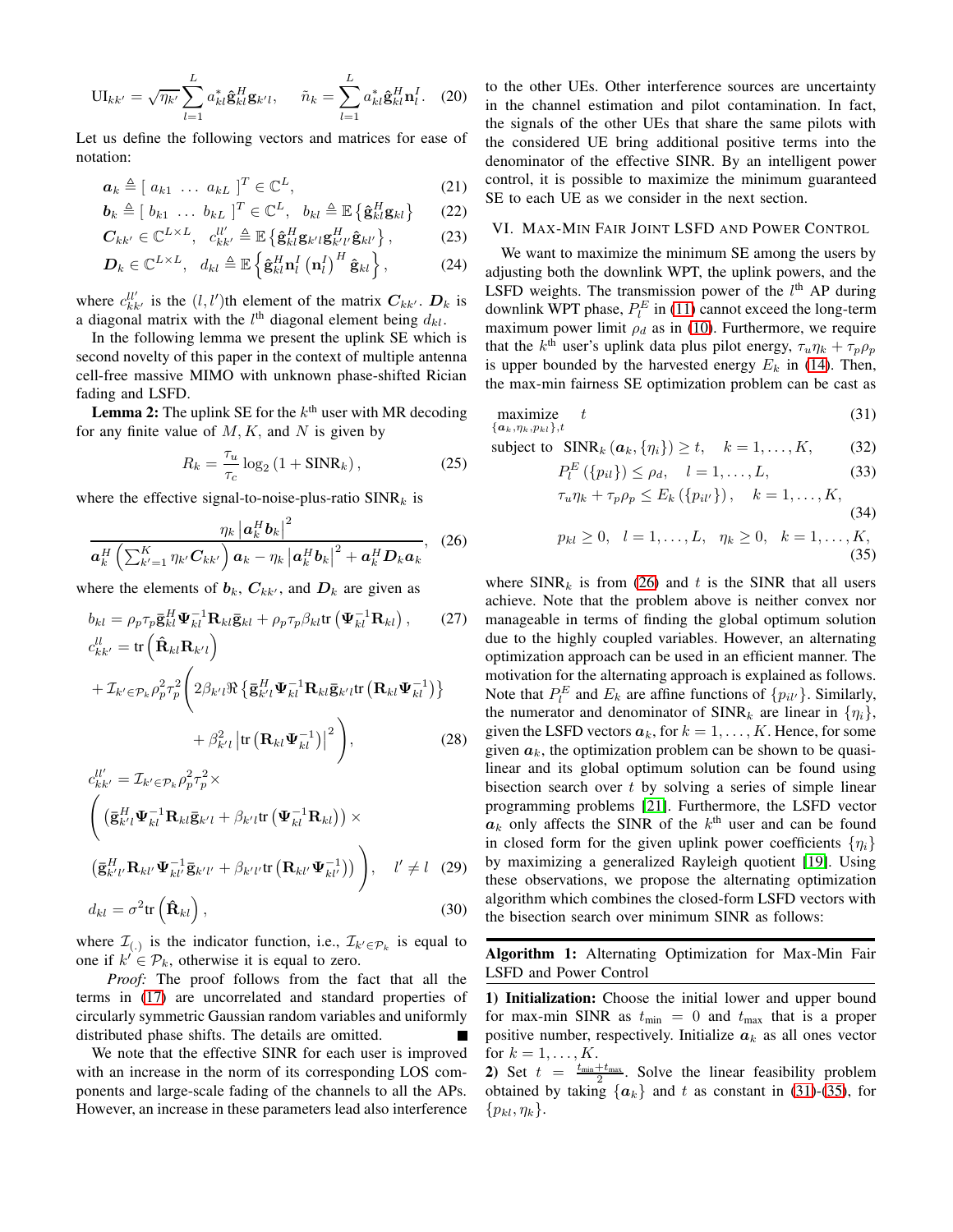$$
\mathrm{UI}_{kk'} = \sqrt{\eta_{k'}} \sum_{l=1}^{L} a_{kl}^* \hat{\mathbf{g}}_{kl}^H \mathbf{g}_{k'l}, \quad \tilde{n}_k = \sum_{l=1}^{L} a_{kl}^* \hat{\mathbf{g}}_{kl}^H \mathbf{n}_l^I. \quad (20)
$$

Let us define the following vectors and matrices for ease of notation:

$$
\boldsymbol{a}_k \triangleq [ a_{k1} \ \dots \ a_{kL} ]^T \in \mathbb{C}^L, \tag{21}
$$

$$
\boldsymbol{b}_{k} \triangleq [b_{k1} \dots b_{kL}]^{T} \in \mathbb{C}^{L}, \quad b_{kl} \triangleq \mathbb{E} \left\{ \hat{\mathbf{g}}_{kl}^{H} \mathbf{g}_{kl} \right\} \tag{22}
$$

$$
\boldsymbol{C}_{kk'} \in \mathbb{C}^{L \times L}, \quad c_{kk'}^{ll'} \triangleq \mathbb{E} \left\{ \hat{\mathbf{g}}_{kl}^H \mathbf{g}_{k'l} \mathbf{g}_{k'l'}^H \hat{\mathbf{g}}_{kl'} \right\}, \tag{23}
$$

$$
\boldsymbol{D}_{k} \in \mathbb{C}^{L \times L}, \quad d_{kl} \triangleq \mathbb{E} \left\{ \hat{\mathbf{g}}_{kl}^{H} \mathbf{n}_{l}^{I} \left( \mathbf{n}_{l}^{I} \right)^{H} \hat{\mathbf{g}}_{kl} \right\},\tag{24}
$$

where  $c_{kk'}^{ll'}$  is the  $(l, l')$ th element of the matrix  $C_{kk'}$ .  $D_k$  is a diagonal matrix with the  $l^{\text{th}}$  diagonal element being  $d_{kl}$ .

In the following lemma we present the uplink SE which is second novelty of this paper in the context of multiple antenna cell-free massive MIMO with unknown phase-shifted Rician fading and LSFD.

**Lemma 2:** The uplink SE for the  $k^{\text{th}}$  user with MR decoding for any finite value of  $M, K$ , and N is given by

$$
R_k = \frac{\tau_u}{\tau_c} \log_2 \left( 1 + \text{SINR}_k \right),\tag{25}
$$

where the effective signal-to-noise-plus-ratio  $SINR_k$  is

$$
\frac{\eta_k \left| \mathbf{a}_k^H \mathbf{b}_k \right|^2}{\mathbf{a}_k^H \left( \sum_{k'=1}^K \eta_{k'} \mathbf{C}_{kk'} \right) \mathbf{a}_k - \eta_k \left| \mathbf{a}_k^H \mathbf{b}_k \right|^2 + \mathbf{a}_k^H \mathbf{D}_k \mathbf{a}_k}, \quad (26)
$$

where the elements of  $b_k$ ,  $C_{kk'}$ , and  $D_k$  are given as

$$
b_{kl} = \rho_p \tau_p \bar{\mathbf{g}}_{kl}^H \mathbf{\Psi}_{kl}^{-1} \mathbf{R}_{kl} \bar{\mathbf{g}}_{kl} + \rho_p \tau_p \beta_{kl} \text{tr} \left( \mathbf{\Psi}_{kl}^{-1} \mathbf{R}_{kl} \right), \qquad (27)
$$

$$
c_{kk'}^U = \text{tr} \left( \hat{\mathbf{R}}_{kl} \mathbf{R}_{k'l} \right)
$$

$$
+ \mathcal{I}_{k' \in \mathcal{P}_k} \rho_p^2 \tau_p^2 \left( 2\beta_{k'l} \Re \left\{ \overline{\mathbf{g}}_{k'l}^H \boldsymbol{\Psi}_{kl}^{-1} \mathbf{R}_{kl} \overline{\mathbf{g}}_{k'l} \text{tr} \left( \mathbf{R}_{kl} \boldsymbol{\Psi}_{kl}^{-1} \right) \right\} + \beta_{k'l}^2 \left| \text{tr} \left( \mathbf{R}_{kl} \boldsymbol{\Psi}_{kl}^{-1} \right) \right|^2 \right), \tag{28}
$$

$$
c_{kk'}^{ll'} = \mathcal{I}_{k' \in \mathcal{P}_k} \rho_p^2 \tau_p^2 \times
$$
  
\n
$$
\left( \left( \mathbf{\bar{g}}_{k'l}^H \mathbf{\Psi}_{kl}^{-1} \mathbf{R}_{kl} \mathbf{\bar{g}}_{k'l} + \beta_{k'l} \text{tr} \left( \mathbf{\Psi}_{kl}^{-1} \mathbf{R}_{kl} \right) \right) \times
$$
  
\n
$$
\left( \mathbf{\bar{g}}_{k'l'}^H \mathbf{R}_{kl'} \mathbf{\Psi}_{kl'}^{-1} \mathbf{\bar{g}}_{k'l'} + \beta_{k'l'} \text{tr} \left( \mathbf{R}_{kl'} \mathbf{\Psi}_{kl'}^{-1} \right) \right) \right), \quad l' \neq l \quad (29)
$$

$$
d_{kl} = \sigma^2 \text{tr}\left(\hat{\mathbf{R}}_{kl}\right),\tag{30}
$$

where  $\mathcal{I}_{(\cdot)}$  is the indicator function, i.e.,  $\mathcal{I}_{k' \in \mathcal{P}_k}$  is equal to one if  $k' \in \mathcal{P}_k$ , otherwise it is equal to zero.

*Proof:* The proof follows from the fact that all the terms in [\(17\)](#page-2-2) are uncorrelated and standard properties of circularly symmetric Gaussian random variables and uniformly distributed phase shifts. The details are omitted.

We note that the effective SINR for each user is improved with an increase in the norm of its corresponding LOS components and large-scale fading of the channels to all the APs. However, an increase in these parameters lead also interference

to the other UEs. Other interference sources are uncertainty in the channel estimation and pilot contamination. In fact, the signals of the other UEs that share the same pilots with the considered UE bring additional positive terms into the denominator of the effective SINR. By an intelligent power control, it is possible to maximize the minimum guaranteed SE to each UE as we consider in the next section.

## VI. MAX-MIN FAIR JOINT LSFD AND POWER CONTROL

We want to maximize the minimum SE among the users by adjusting both the downlink WPT, the uplink powers, and the LSFD weights. The transmission power of the  $l<sup>th</sup>$  AP during downlink WPT phase,  $P_l^E$  in [\(11\)](#page-2-3) cannot exceed the long-term maximum power limit  $\rho_d$  as in [\(10\)](#page-2-4). Furthermore, we require that the  $k^{\text{th}}$  user's uplink data plus pilot energy,  $\tau_u \eta_k + \tau_p \rho_p$ is upper bounded by the harvested energy  $E_k$  in [\(14\)](#page-2-1). Then, the max-min fairness SE optimization problem can be cast as

$$
\begin{array}{ll}\n\text{maximize} & t \\
\{\mathbf{a}_k, \eta_k, p_{kl}\}, t\n\end{array} \tag{31}
$$

subject to  $SINR_k (a_k, \{\eta_i\}) \ge t, \quad k = 1, ..., K,$  (32)

<span id="page-3-4"></span><span id="page-3-1"></span>
$$
P_l^E\left(\{p_{il}\}\right) \le \rho_d, \quad l = 1, \dots, L,\tag{33}
$$

<span id="page-3-3"></span>
$$
\tau_u \eta_k + \tau_p \rho_p \le E_k \left( \{ p_{il'} \} \right), \quad k = 1, \dots, K,
$$
\n(34)

<span id="page-3-2"></span>
$$
p_{kl} \ge 0, \quad l = 1, ..., L, \quad \eta_k \ge 0, \quad k = 1, ..., K,
$$
\n(35)

<span id="page-3-0"></span>where  $SINR_k$  is from [\(26\)](#page-3-0) and t is the SINR that all users achieve. Note that the problem above is neither convex nor manageable in terms of finding the global optimum solution due to the highly coupled variables. However, an alternating optimization approach can be used in an efficient manner. The motivation for the alternating approach is explained as follows. Note that  $P_l^E$  and  $E_k$  are affine functions of  $\{p_{il'}\}$ . Similarly, the numerator and denominator of  $SINR_k$  are linear in  $\{\eta_i\},\$ given the LSFD vectors  $a_k$ , for  $k = 1, \ldots, K$ . Hence, for some given  $a_k$ , the optimization problem can be shown to be quasilinear and its global optimum solution can be found using bisection search over  $t$  by solving a series of simple linear programming problems [\[21\]](#page-5-18). Furthermore, the LSFD vector  $a_k$  only affects the SINR of the  $k^{\text{th}}$  user and can be found in closed form for the given uplink power coefficients  $\{\eta_i\}$ by maximizing a generalized Rayleigh quotient [\[19\]](#page-5-15). Using these observations, we propose the alternating optimization algorithm which combines the closed-form LSFD vectors with the bisection search over minimum SINR as follows:

Algorithm 1: Alternating Optimization for Max-Min Fair LSFD and Power Control

1) Initialization: Choose the initial lower and upper bound for max-min SINR as  $t_{\text{min}} = 0$  and  $t_{\text{max}}$  that is a proper positive number, respectively. Initialize  $a_k$  as all ones vector for  $k = 1, \ldots, K$ .

2) Set  $t = \frac{t_{\text{min}} + t_{\text{max}}}{2}$ . Solve the linear feasibility problem obtained by taking  $\{a_k\}$  and t as constant in [\(31\)](#page-3-1)-[\(35\)](#page-3-2), for  $\{p_{kl}, \eta_k\}.$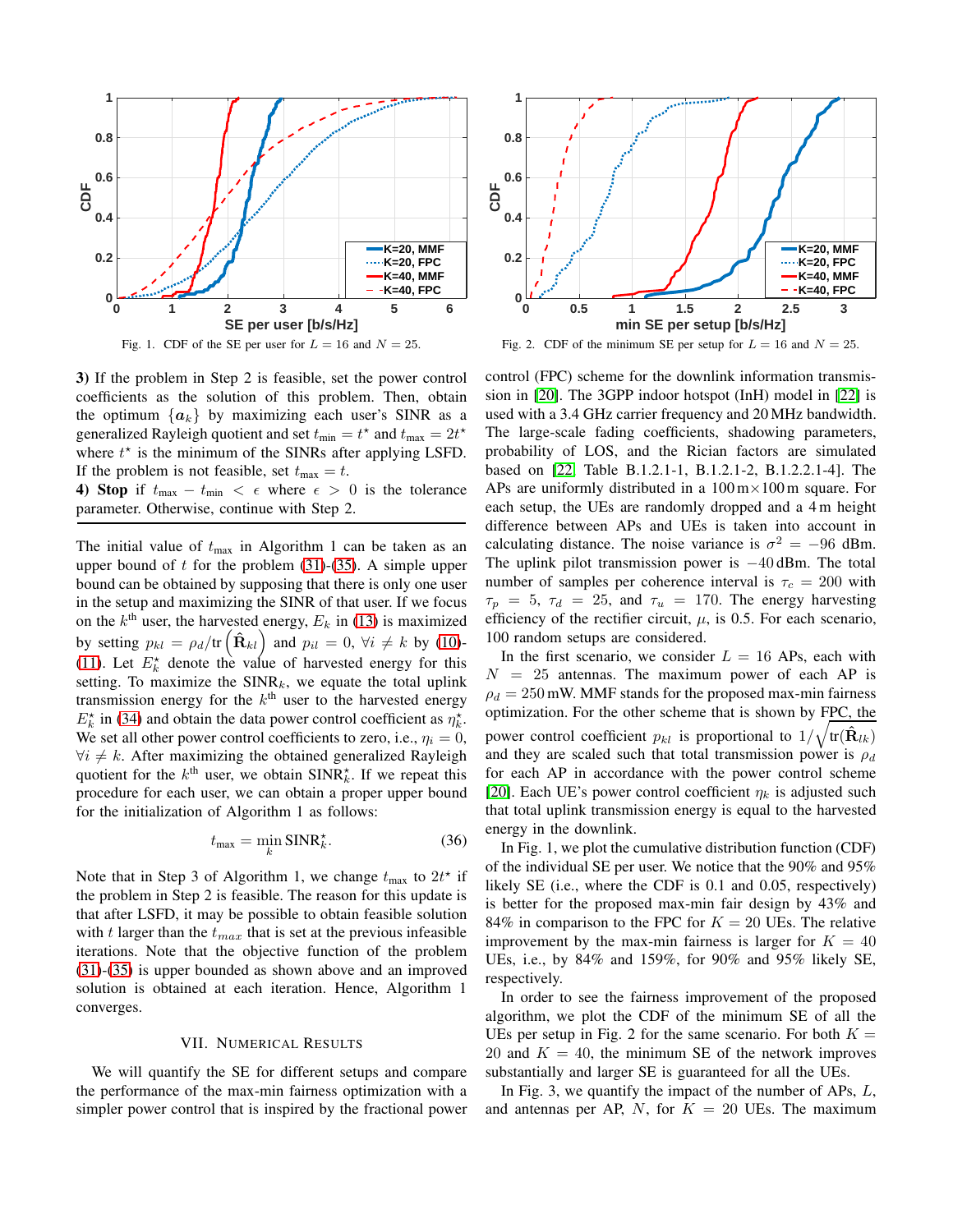

Fig. 1. CDF of the SE per user for  $L = 16$  and  $N = 25$ .

3) If the problem in Step 2 is feasible, set the power control coefficients as the solution of this problem. Then, obtain the optimum  $\{a_k\}$  by maximizing each user's SINR as a generalized Rayleigh quotient and set  $t_{\text{min}} = t^*$  and  $t_{\text{max}} = 2t^*$ where  $t^*$  is the minimum of the SINRs after applying LSFD. If the problem is not feasible, set  $t_{\text{max}} = t$ .

4) Stop if  $t_{\text{max}} - t_{\text{min}} < \epsilon$  where  $\epsilon > 0$  is the tolerance parameter. Otherwise, continue with Step 2.

The initial value of  $t_{\text{max}}$  in Algorithm 1 can be taken as an upper bound of  $t$  for the problem [\(31\)](#page-3-1)-[\(35\)](#page-3-2). A simple upper bound can be obtained by supposing that there is only one user in the setup and maximizing the SINR of that user. If we focus on the  $k^{\text{th}}$  user, the harvested energy,  $E_k$  in [\(13\)](#page-2-0) is maximized by setting  $p_{kl} = \rho_d / \text{tr}\left(\hat{\mathbf{R}}_{kl}\right)$  and  $p_{il} = 0$ ,  $\forall i \neq k$  by [\(10\)](#page-2-4)-[\(11\)](#page-2-3). Let  $E_k^*$  denote the value of harvested energy for this setting. To maximize the  $SINR_k$ , we equate the total uplink transmission energy for the  $k<sup>th</sup>$  user to the harvested energy  $E_k^*$  in [\(34\)](#page-3-3) and obtain the data power control coefficient as  $\eta_k^*$ . We set all other power control coefficients to zero, i.e.,  $\eta_i = 0$ ,  $\forall i \neq k$ . After maximizing the obtained generalized Rayleigh quotient for the  $k^{\text{th}}$  user, we obtain  $\text{SINR}_{k}^{\star}$ . If we repeat this procedure for each user, we can obtain a proper upper bound for the initialization of Algorithm 1 as follows:

$$
t_{\max} = \min_{k} \text{SINR}_{k}^{\star}.
$$
 (36)

Note that in Step 3 of Algorithm 1, we change  $t_{\text{max}}$  to  $2t^*$  if the problem in Step 2 is feasible. The reason for this update is that after LSFD, it may be possible to obtain feasible solution with t larger than the  $t_{max}$  that is set at the previous infeasible iterations. Note that the objective function of the problem [\(31\)](#page-3-1)-[\(35\)](#page-3-2) is upper bounded as shown above and an improved solution is obtained at each iteration. Hence, Algorithm 1 converges.

## VII. NUMERICAL RESULTS

We will quantify the SE for different setups and compare the performance of the max-min fairness optimization with a simpler power control that is inspired by the fractional power



Fig. 2. CDF of the minimum SE per setup for  $L = 16$  and  $N = 25$ .

control (FPC) scheme for the downlink information transmission in [\[20\]](#page-5-19). The 3GPP indoor hotspot (InH) model in [\[22\]](#page-5-20) is used with a 3.4 GHz carrier frequency and 20 MHz bandwidth. The large-scale fading coefficients, shadowing parameters, probability of LOS, and the Rician factors are simulated based on [\[22,](#page-5-20) Table B.1.2.1-1, B.1.2.1-2, B.1.2.2.1-4]. The APs are uniformly distributed in a  $100 \text{ m} \times 100 \text{ m}$  square. For each setup, the UEs are randomly dropped and a 4 m height difference between APs and UEs is taken into account in calculating distance. The noise variance is  $\sigma^2 = -96$  dBm. The uplink pilot transmission power is −40 dBm. The total number of samples per coherence interval is  $\tau_c = 200$  with  $\tau_p = 5$ ,  $\tau_d = 25$ , and  $\tau_u = 170$ . The energy harvesting efficiency of the rectifier circuit,  $\mu$ , is 0.5. For each scenario, 100 random setups are considered.

In the first scenario, we consider  $L = 16$  APs, each with  $N = 25$  antennas. The maximum power of each AP is  $\rho_d = 250$  mW. MMF stands for the proposed max-min fairness optimization. For the other scheme that is shown by FPC, the power control coefficient  $p_{kl}$  is proportional to  $1/\sqrt{\text{tr}(\hat{\mathbf{R}}_{lk})}$ and they are scaled such that total transmission power is  $\rho_d$ for each AP in accordance with the power control scheme [\[20\]](#page-5-19). Each UE's power control coefficient  $\eta_k$  is adjusted such that total uplink transmission energy is equal to the harvested energy in the downlink.

In Fig. 1, we plot the cumulative distribution function (CDF) of the individual SE per user. We notice that the 90% and 95% likely SE (i.e., where the CDF is 0.1 and 0.05, respectively) is better for the proposed max-min fair design by 43% and 84% in comparison to the FPC for  $K = 20$  UEs. The relative improvement by the max-min fairness is larger for  $K = 40$ UEs, i.e., by 84% and 159%, for 90% and 95% likely SE, respectively.

In order to see the fairness improvement of the proposed algorithm, we plot the CDF of the minimum SE of all the UEs per setup in Fig. 2 for the same scenario. For both  $K =$ 20 and  $K = 40$ , the minimum SE of the network improves substantially and larger SE is guaranteed for all the UEs.

In Fig. 3, we quantify the impact of the number of APs, L, and antennas per AP, N, for  $K = 20$  UEs. The maximum